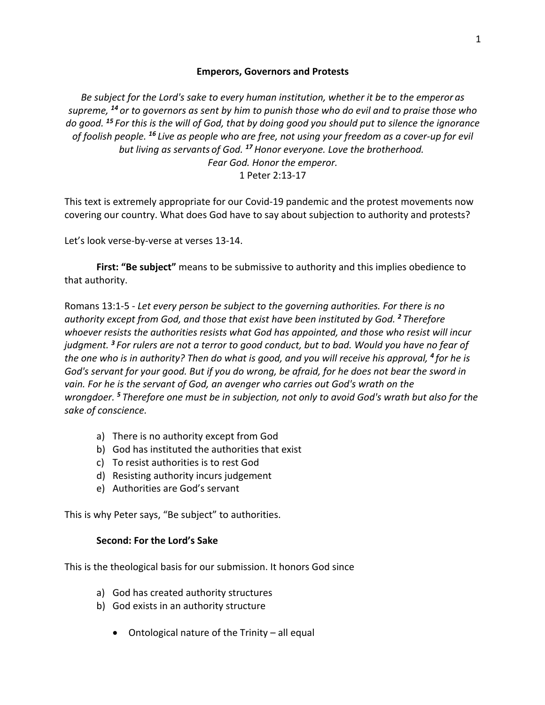### **Emperors, Governors and Protests**

*Be subject for the Lord's sake to every human institution, whether it be to the emperor as supreme, <sup>14</sup> or to governors as sent by him to punish those who do evil and to praise those who do good. <sup>15</sup> For this is the will of God, that by doing good you should put to silence the ignorance of foolish people. <sup>16</sup> Live as people who are free, not using your freedom as a cover-up for evil but living as servants of God. <sup>17</sup>Honor everyone. Love the brotherhood. Fear God. Honor the emperor.* 1 Peter 2:13-17

This text is extremely appropriate for our Covid-19 pandemic and the protest movements now covering our country. What does God have to say about subjection to authority and protests?

Let's look verse-by-verse at verses 13-14.

**First: "Be subject"** means to be submissive to authority and this implies obedience to that authority.

Romans 13:1-5 - *Let every person be subject to the governing authorities. For there is no authority except from God, and those that exist have been instituted by God. <sup>2</sup> Therefore whoever resists the authorities resists what God has appointed, and those who resist will incur judgment. <sup>3</sup> For rulers are not a terror to good conduct, but to bad. Would you have no fear of the one who is in authority? Then do what is good, and you will receive his approval, <sup>4</sup> for he is God's servant for your good. But if you do wrong, be afraid, for he does not bear the sword in vain. For he is the servant of God, an avenger who carries out God's wrath on the wrongdoer. <sup>5</sup> Therefore one must be in subjection, not only to avoid God's wrath but also for the sake of conscience.*

- a) There is no authority except from God
- b) God has instituted the authorities that exist
- c) To resist authorities is to rest God
- d) Resisting authority incurs judgement
- e) Authorities are God's servant

This is why Peter says, "Be subject" to authorities.

#### **Second: For the Lord's Sake**

This is the theological basis for our submission. It honors God since

- a) God has created authority structures
- b) God exists in an authority structure
	- Ontological nature of the Trinity all equal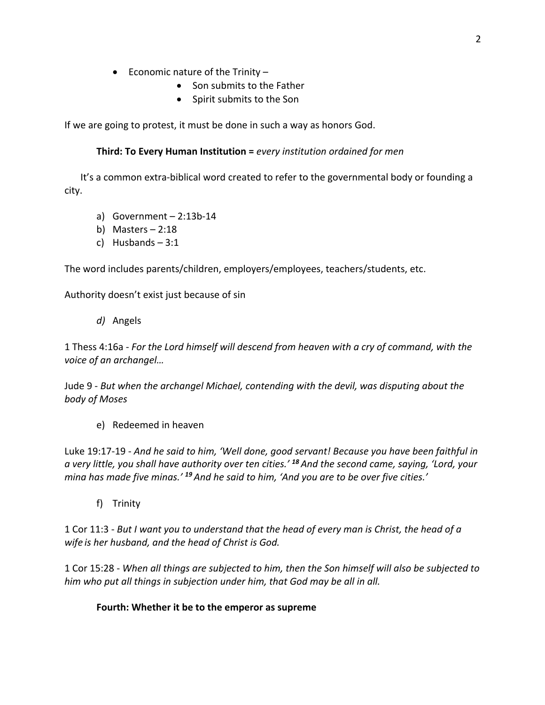- Economic nature of the Trinity
	- Son submits to the Father
	- Spirit submits to the Son

If we are going to protest, it must be done in such a way as honors God.

### **Third: To Every Human Institution =** *every institution ordained for men*

It's a common extra-biblical word created to refer to the governmental body or founding a city.

- a) Government  $-2:13b-14$
- b) Masters 2:18
- c) Husbands 3:1

The word includes parents/children, employers/employees, teachers/students, etc.

Authority doesn't exist just because of sin

*d)* Angels

1 Thess 4:16a - *For the Lord himself will descend from heaven with a cry of command, with the voice of an archangel…*

Jude 9 - *But when the archangel Michael, contending with the devil, was disputing about the body of Moses*

e) Redeemed in heaven

Luke 19:17-19 - *And he said to him, 'Well done, good servant! Because you have been faithful in a very little, you shall have authority over ten cities.' <sup>18</sup> And the second came, saying, 'Lord, your mina has made five minas.' <sup>19</sup> And he said to him, 'And you are to be over five cities.'*

f) Trinity

1 Cor 11:3 - *But I want you to understand that the head of every man is Christ, the head of a wife is her husband, and the head of Christ is God.*

1 Cor 15:28 - *When all things are subjected to him, then the Son himself will also be subjected to him who put all things in subjection under him, that God may be all in all.*

### **Fourth: Whether it be to the emperor as supreme**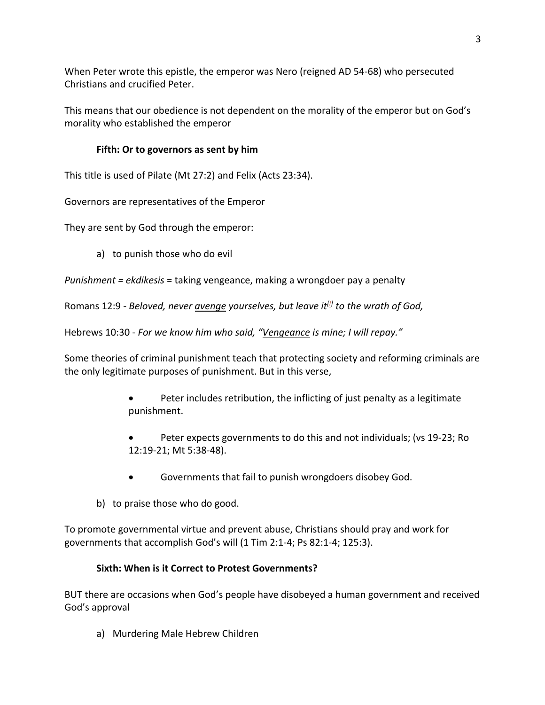When Peter wrote this epistle, the emperor was Nero (reigned AD 54-68) who persecuted Christians and crucified Peter.

This means that our obedience is not dependent on the morality of the emperor but on God's morality who established the emperor

# **Fifth: Or to governors as sent by him**

This title is used of Pilate (Mt 27:2) and Felix (Acts 23:34).

Governors are representatives of the Emperor

They are sent by God through the emperor:

a) to punish those who do evil

*Punishment = ekdikesis* = taking vengeance, making a wrongdoer pay a penalty

Romans 12:9 - *Beloved, never avenge yourselves, but leave it<sup>[j]</sup> to the wrath of God,* 

Hebrews 10:30 - *For we know him who said, "Vengeance is mine; I will repay."*

Some theories of criminal punishment teach that protecting society and reforming criminals are the only legitimate purposes of punishment. But in this verse,

- Peter includes retribution, the inflicting of just penalty as a legitimate punishment.
- Peter expects governments to do this and not individuals; (vs 19-23; Ro 12:19-21; Mt 5:38-48).
- Governments that fail to punish wrongdoers disobey God.
- b) to praise those who do good.

To promote governmental virtue and prevent abuse, Christians should pray and work for governments that accomplish God's will (1 Tim 2:1-4; Ps 82:1-4; 125:3).

## **Sixth: When is it Correct to Protest Governments?**

BUT there are occasions when God's people have disobeyed a human government and received God's approval

a) Murdering Male Hebrew Children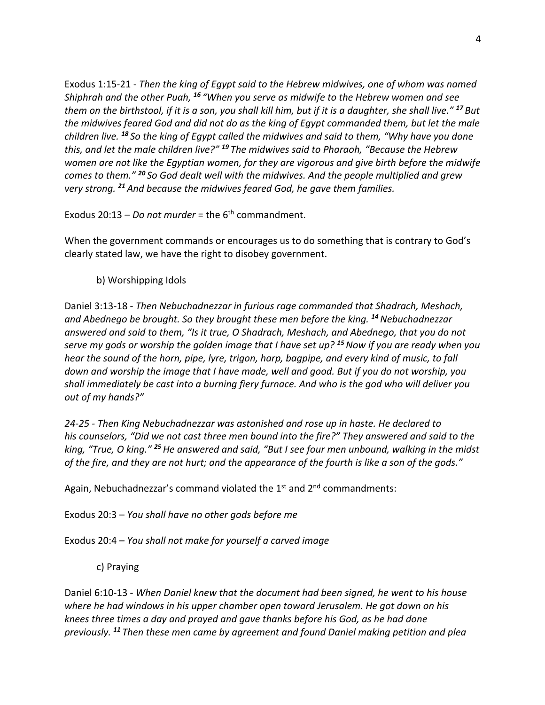Exodus 1:15-21 - *Then the king of Egypt said to the Hebrew midwives, one of whom was named Shiphrah and the other Puah, <sup>16</sup> "When you serve as midwife to the Hebrew women and see them on the birthstool, if it is a son, you shall kill him, but if it is a daughter, she shall live." <sup>17</sup> But the midwives feared God and did not do as the king of Egypt commanded them, but let the male children live. <sup>18</sup> So the king of Egypt called the midwives and said to them, "Why have you done this, and let the male children live?" <sup>19</sup> The midwives said to Pharaoh, "Because the Hebrew women are not like the Egyptian women, for they are vigorous and give birth before the midwife comes to them." <sup>20</sup> So God dealt well with the midwives. And the people multiplied and grew very strong. <sup>21</sup> And because the midwives feared God, he gave them families.*

Exodus 20:13 – *Do not murder* = the 6<sup>th</sup> commandment.

When the government commands or encourages us to do something that is contrary to God's clearly stated law, we have the right to disobey government.

b) Worshipping Idols

Daniel 3:13-18 - *Then Nebuchadnezzar in furious rage commanded that Shadrach, Meshach, and Abednego be brought. So they brought these men before the king. <sup>14</sup>Nebuchadnezzar answered and said to them, "Is it true, O Shadrach, Meshach, and Abednego, that you do not serve my gods or worship the golden image that I have set up? <sup>15</sup>Now if you are ready when you hear the sound of the horn, pipe, lyre, trigon, harp, bagpipe, and every kind of music, to fall down and worship the image that I have made, well and good. But if you do not worship, you shall immediately be cast into a burning fiery furnace. And who is the god who will deliver you out of my hands?"*

*24-25 - Then King Nebuchadnezzar was astonished and rose up in haste. He declared to his counselors, "Did we not cast three men bound into the fire?" They answered and said to the king, "True, O king." <sup>25</sup>He answered and said, "But I see four men unbound, walking in the midst of the fire, and they are not hurt; and the appearance of the fourth is like a son of the gods."*

Again, Nebuchadnezzar's command violated the  $1<sup>st</sup>$  and  $2<sup>nd</sup>$  commandments:

Exodus 20:3 – *You shall have no other gods before me*

Exodus 20:4 – *You shall not make for yourself a carved image*

c) Praying

Daniel 6:10-13 - *When Daniel knew that the document had been signed, he went to his house where he had windows in his upper chamber open toward Jerusalem. He got down on his knees three times a day and prayed and gave thanks before his God, as he had done previously. <sup>11</sup> Then these men came by agreement and found Daniel making petition and plea*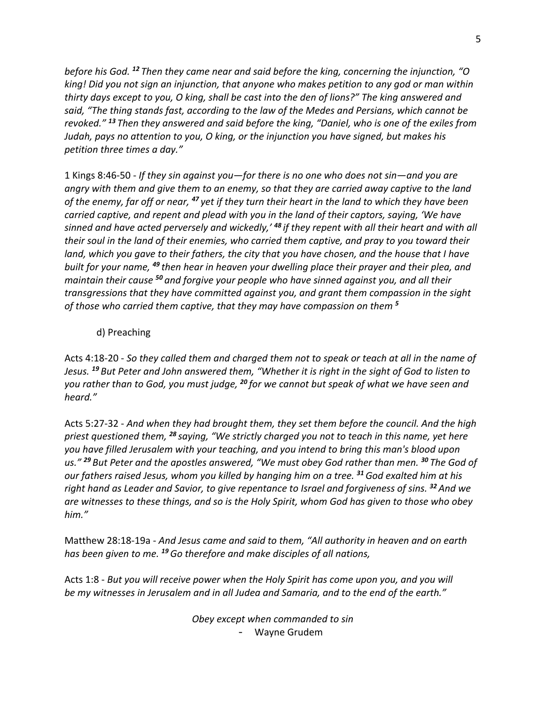*before his God. <sup>12</sup> Then they came near and said before the king, concerning the injunction, "O king! Did you not sign an injunction, that anyone who makes petition to any god or man within thirty days except to you, O king, shall be cast into the den of lions?" The king answered and said, "The thing stands fast, according to the law of the Medes and Persians, which cannot be revoked." <sup>13</sup> Then they answered and said before the king, "Daniel, who is one of the exiles from Judah, pays no attention to you, O king, or the injunction you have signed, but makes his petition three times a day."*

1 Kings 8:46-50 - *If they sin against you—for there is no one who does not sin—and you are angry with them and give them to an enemy, so that they are carried away captive to the land of the enemy, far off or near, <sup>47</sup> yet if they turn their heart in the land to which they have been carried captive, and repent and plead with you in the land of their captors, saying, 'We have sinned and have acted perversely and wickedly,' <sup>48</sup> if they repent with all their heart and with all their soul in the land of their enemies, who carried them captive, and pray to you toward their*  land, which you gave to their fathers, the city that you have chosen, and the house that I have *built for your name, <sup>49</sup> then hear in heaven your dwelling place their prayer and their plea, and maintain their cause <sup>50</sup> and forgive your people who have sinned against you, and all their transgressions that they have committed against you, and grant them compassion in the sight of those who carried them captive, that they may have compassion on them <sup>5</sup>*

### d) Preaching

Acts 4:18-20 - *So they called them and charged them not to speak or teach at all in the name of Jesus. <sup>19</sup> But Peter and John answered them, "Whether it is right in the sight of God to listen to you rather than to God, you must judge, <sup>20</sup> for we cannot but speak of what we have seen and heard."*

Acts 5:27-32 - *And when they had brought them, they set them before the council. And the high priest questioned them, <sup>28</sup> saying, "We strictly charged you not to teach in this name, yet here you have filled Jerusalem with your teaching, and you intend to bring this man's blood upon us." <sup>29</sup> But Peter and the apostles answered, "We must obey God rather than men. <sup>30</sup> The God of our fathers raised Jesus, whom you killed by hanging him on a tree. <sup>31</sup>God exalted him at his right hand as Leader and Savior, to give repentance to Israel and forgiveness of sins. <sup>32</sup> And we are witnesses to these things, and so is the Holy Spirit, whom God has given to those who obey him."*

Matthew 28:18-19a - *And Jesus came and said to them, "All authority in heaven and on earth has been given to me. <sup>19</sup>Go therefore and make disciples of all nations,*

Acts 1:8 - *But you will receive power when the Holy Spirit has come upon you, and you will be my witnesses in Jerusalem and in all Judea and Samaria, and to the end of the earth."*

> *Obey except when commanded to sin* - Wayne Grudem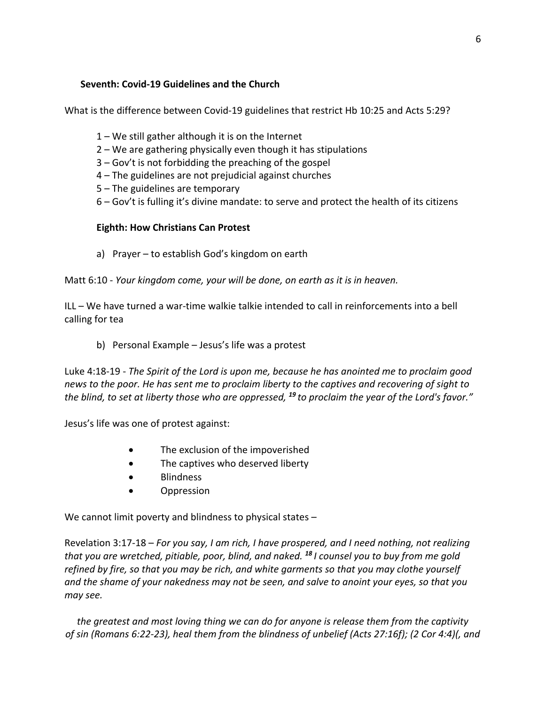### **Seventh: Covid-19 Guidelines and the Church**

What is the difference between Covid-19 guidelines that restrict Hb 10:25 and Acts 5:29?

- 1 We still gather although it is on the Internet
- 2 We are gathering physically even though it has stipulations
- 3 Gov't is not forbidding the preaching of the gospel
- 4 The guidelines are not prejudicial against churches
- 5 The guidelines are temporary
- 6 Gov't is fulling it's divine mandate: to serve and protect the health of its citizens

### **Eighth: How Christians Can Protest**

a) Prayer – to establish God's kingdom on earth

Matt 6:10 - *Your kingdom come, your will be done, on earth as it is in heaven.*

ILL – We have turned a war-time walkie talkie intended to call in reinforcements into a bell calling for tea

b) Personal Example – Jesus's life was a protest

Luke 4:18-19 - *The Spirit of the Lord is upon me, because he has anointed me to proclaim good news to the poor. He has sent me to proclaim liberty to the captives and recovering of sight to the blind, to set at liberty those who are oppressed, <sup>19</sup> to proclaim the year of the Lord's favor."*

Jesus's life was one of protest against:

- The exclusion of the impoverished
- The captives who deserved liberty
- Blindness
- Oppression

We cannot limit poverty and blindness to physical states –

Revelation 3:17-18 – *For you say, I am rich, I have prospered, and I need nothing, not realizing that you are wretched, pitiable, poor, blind, and naked. <sup>18</sup> I counsel you to buy from me gold refined by fire, so that you may be rich, and white garments so that you may clothe yourself and the shame of your nakedness may not be seen, and salve to anoint your eyes, so that you may see.*

*the greatest and most loving thing we can do for anyone is release them from the captivity of sin (Romans 6:22-23), heal them from the blindness of unbelief (Acts 27:16f); (2 Cor 4:4)(, and*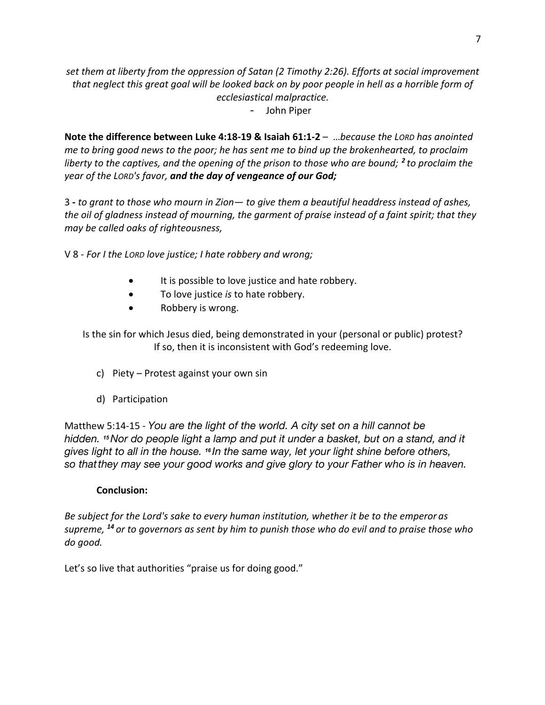*set them at liberty from the oppression of Satan (2 Timothy 2:26). Efforts at social improvement that neglect this great goal will be looked back on by poor people in hell as a horrible form of ecclesiastical malpractice.*

- John Piper

**Note the difference between Luke 4:18-19 & Isaiah 61:1-2** – …*because the LORD has anointed me to bring good news to the poor; he has sent me to bind up the brokenhearted, to proclaim liberty to the captives, and the opening of the prison to those who are bound; <sup>2</sup> to proclaim the year of the LORD's favor, and the day of vengeance of our God;* 

3 **-** *to grant to those who mourn in Zion— to give them a beautiful headdress instead of ashes, the oil of gladness instead of mourning, the garment of praise instead of a faint spirit; that they may be called oaks of righteousness,*

V 8 - *For I the LORD love justice; I hate robbery and wrong;*

- It is possible to love justice and hate robbery.
- To love justice *is* to hate robbery.
- Robbery is wrong.

Is the sin for which Jesus died, being demonstrated in your (personal or public) protest? If so, then it is inconsistent with God's redeeming love.

- c) Piety Protest against your own sin
- d) Participation

Matthew 5:14-15 - *You are the light of the world. A city set on a hill cannot be hidden. <sup>15</sup>Nor do people light a lamp and put it under a basket, but on a stand, and it gives light to all in the house. <sup>16</sup> In the same way, let your light shine before others, so thatthey may see your good works and give glory to your Father who is in heaven.*

### **Conclusion:**

*Be subject for the Lord's sake to every human institution, whether it be to the emperor as supreme, <sup>14</sup> or to governors as sent by him to punish those who do evil and to praise those who do good.*

Let's so live that authorities "praise us for doing good."